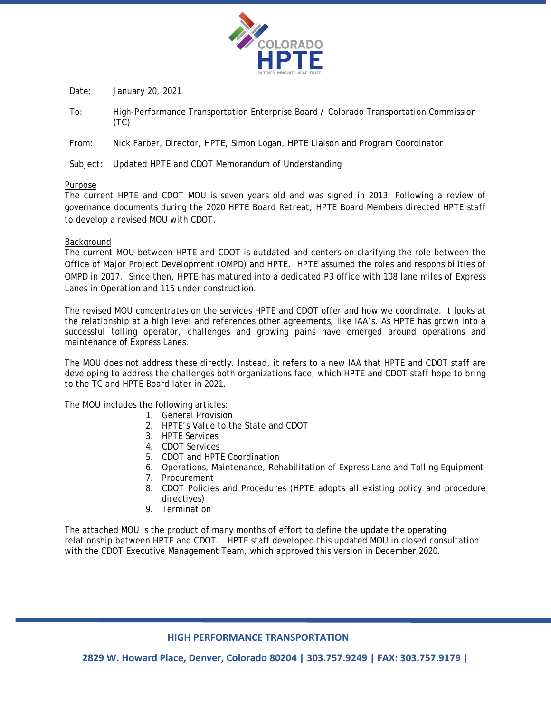

Date: January 20, 2021

- To: High-Performance Transportation Enterprise Board / Colorado Transportation Commission (TC)
- From: Nick Farber, Director, HPTE, Simon Logan, HPTE Liaison and Program Coordinator

Subject: Updated HPTE and CDOT Memorandum of Understanding

### Purpose

The current HPTE and CDOT MOU is seven years old and was signed in 2013. Following a review of governance documents during the 2020 HPTE Board Retreat, HPTE Board Members directed HPTE staff to develop a revised MOU with CDOT.

### Background

The current MOU between HPTE and CDOT is outdated and centers on clarifying the role between the Office of Major Project Development (OMPD) and HPTE. HPTE assumed the roles and responsibilities of OMPD in 2017. Since then, HPTE has matured into a dedicated P3 office with 108 lane miles of Express Lanes in Operation and 115 under construction.

The revised MOU concentrates on the services HPTE and CDOT offer and how we coordinate. It looks at the relationship at a high level and references other agreements, like IAA's. As HPTE has grown into a successful tolling operator, challenges and growing pains have emerged around operations and maintenance of Express Lanes.

The MOU does not address these directly. Instead, it refers to a new IAA that HPTE and CDOT staff are developing to address the challenges both organizations face, which HPTE and CDOT staff hope to bring to the TC and HPTE Board later in 2021.

The MOU includes the following articles:

- 1. General Provision
- 2. HPTE's Value to the State and CDOT
- 3. HPTE Services
- 4. CDOT Services
- 5. CDOT and HPTE Coordination
- 6. Operations, Maintenance, Rehabilitation of Express Lane and Tolling Equipment
- 7. Procurement
- 8. CDOT Policies and Procedures (HPTE adopts all existing policy and procedure directives)
- 9. Termination

The attached MOU is the product of many months of effort to define the update the operating relationship between HPTE and CDOT. HPTE staff developed this updated MOU in closed consultation with the CDOT Executive Management Team, which approved this version in December 2020.

# **HIGH PERFORMANCE TRANSPORTATION**

**2829 W. Howard Place, Denver, Colorado 80204 | 303.757.9249 | FAX: 303.757.9179 |**